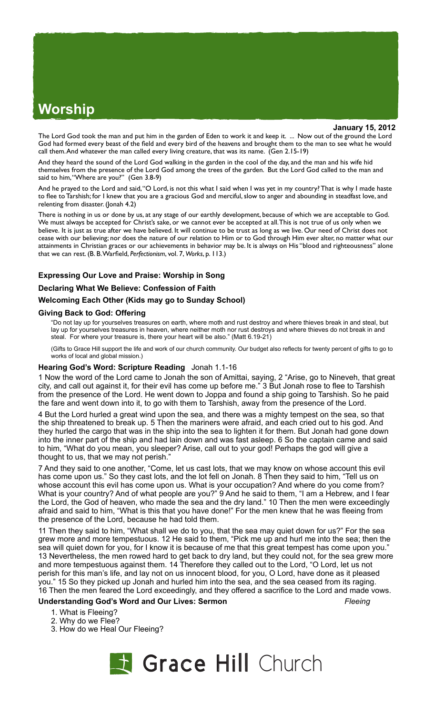# **Worship**

**January 15, 2012**

The Lord God took the man and put him in the garden of Eden to work it and keep it. ... Now out of the ground the Lord God had formed every beast of the field and every bird of the heavens and brought them to the man to see what he would call them. And whatever the man called every living creature, that was its name. (Gen 2.15-19)

And they heard the sound of the Lord God walking in the garden in the cool of the day, and the man and his wife hid themselves from the presence of the Lord God among the trees of the garden. But the Lord God called to the man and said to him, "Where are you?" (Gen 3.8-9)

And he prayed to the Lord and said, "O Lord, is not this what I said when I was yet in my country? That is why I made haste to flee to Tarshish; for I knew that you are a gracious God and merciful, slow to anger and abounding in steadfast love, and relenting from disaster. (Jonah 4.2)

There is nothing in us or done by us, at any stage of our earthly development, because of which we are acceptable to God. We must always be accepted for Christ's sake, or we cannot ever be accepted at all. This is not true of us only when we believe. It is just as true after we have believed. It will continue to be trust as long as we live. Our need of Christ does not cease with our believing; nor does the nature of our relation to Him or to God through Him ever alter, no matter what our attainments in Christian graces or our achievements in behavior may be. It is always on His "blood and righteousness" alone that we can rest. (B. B. Warfield, *Perfectionism*, vol. 7, *Works*, p. 113.)

# **Expressing Our Love and Praise: Worship in Song**

### **Declaring What We Believe: Confession of Faith**

#### **Welcoming Each Other (Kids may go to Sunday School)**

#### **Giving Back to God: Offering**

"Do not lay up for yourselves treasures on earth, where moth and rust destroy and where thieves break in and steal, but lay up for yourselves treasures in heaven, where neither moth nor rust destroys and where thieves do not break in and steal. For where your treasure is, there your heart will be also." (Matt 6.19-21)

(Gifts to Grace Hill support the life and work of our church community. Our budget also reflects for twenty percent of gifts to go to works of local and global mission.)

#### **Hearing God's Word: Scripture Reading** Jonah 1.1-16

1 Now the word of the Lord came to Jonah the son of Amittai, saying, 2 "Arise, go to Nineveh, that great city, and call out against it, for their evil has come up before me." 3 But Jonah rose to flee to Tarshish from the presence of the Lord. He went down to Joppa and found a ship going to Tarshish. So he paid the fare and went down into it, to go with them to Tarshish, away from the presence of the Lord.

4 But the Lord hurled a great wind upon the sea, and there was a mighty tempest on the sea, so that the ship threatened to break up. 5 Then the mariners were afraid, and each cried out to his god. And they hurled the cargo that was in the ship into the sea to lighten it for them. But Jonah had gone down into the inner part of the ship and had lain down and was fast asleep. 6 So the captain came and said to him, "What do you mean, you sleeper? Arise, call out to your god! Perhaps the god will give a thought to us, that we may not perish."

7 And they said to one another, "Come, let us cast lots, that we may know on whose account this evil has come upon us." So they cast lots, and the lot fell on Jonah. 8 Then they said to him, "Tell us on whose account this evil has come upon us. What is your occupation? And where do you come from? What is your country? And of what people are you?" 9 And he said to them, "I am a Hebrew, and I fear the Lord, the God of heaven, who made the sea and the dry land." 10 Then the men were exceedingly afraid and said to him, "What is this that you have done!" For the men knew that he was fleeing from the presence of the Lord, because he had told them.

11 Then they said to him, "What shall we do to you, that the sea may quiet down for us?" For the sea grew more and more tempestuous. 12 He said to them, "Pick me up and hurl me into the sea; then the sea will quiet down for you, for I know it is because of me that this great tempest has come upon you.' 13 Nevertheless, the men rowed hard to get back to dry land, but they could not, for the sea grew more and more tempestuous against them. 14 Therefore they called out to the Lord, "O Lord, let us not perish for this man's life, and lay not on us innocent blood, for you, O Lord, have done as it pleased you." 15 So they picked up Jonah and hurled him into the sea, and the sea ceased from its raging. 16 Then the men feared the Lord exceedingly, and they offered a sacrifice to the Lord and made vows.

# **Understanding God's Word and Our Lives: Sermon** *Fleeing*

- 1. What is Fleeing?
- 2. Why do we Flee?
- 3. How do we Heal Our Fleeing?